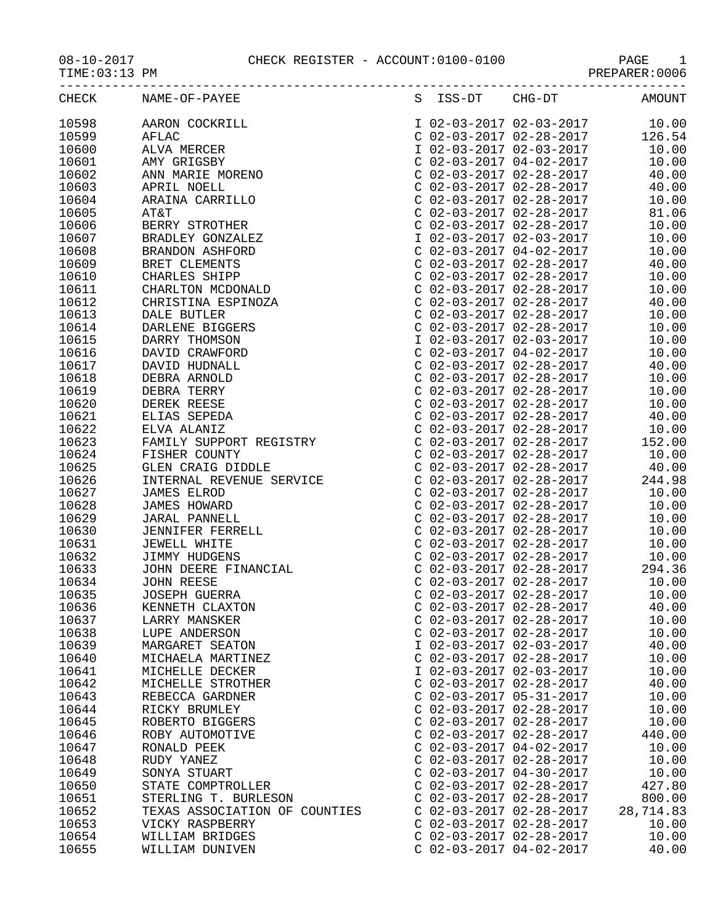08-10-2017 CHECK REGISTER - ACCOUNT:0100-0100 PAGE 1

|       | CHECK NAME-OF-PAYEE<br>NAME -OF -PAYES 5 198 -DT 2010 12 - 03 -03 -2017 02 -23 -2017 02 -23 -2017 02 -23 -2017 02 -23 -2017 02 -23 -2017 02 -23 -2017 02 -23 -2017 02 -23 -2017 02 -23 -2017 02 -23 -2017 02 -23 -2017 02 -23 -2017 02 -23 -2017 02 |                           |                           | S ISS-DT CHG-DT AMOUNT |
|-------|-----------------------------------------------------------------------------------------------------------------------------------------------------------------------------------------------------------------------------------------------------|---------------------------|---------------------------|------------------------|
| 10598 |                                                                                                                                                                                                                                                     |                           |                           |                        |
| 10599 |                                                                                                                                                                                                                                                     |                           |                           |                        |
| 10600 |                                                                                                                                                                                                                                                     |                           |                           |                        |
| 10601 |                                                                                                                                                                                                                                                     |                           |                           |                        |
| 10602 |                                                                                                                                                                                                                                                     |                           |                           |                        |
| 10603 |                                                                                                                                                                                                                                                     |                           |                           |                        |
| 10604 |                                                                                                                                                                                                                                                     |                           |                           |                        |
| 10605 |                                                                                                                                                                                                                                                     |                           |                           |                        |
| 10606 |                                                                                                                                                                                                                                                     |                           |                           |                        |
| 10607 |                                                                                                                                                                                                                                                     |                           |                           |                        |
| 10608 |                                                                                                                                                                                                                                                     |                           |                           |                        |
| 10609 |                                                                                                                                                                                                                                                     |                           |                           |                        |
| 10610 |                                                                                                                                                                                                                                                     |                           |                           |                        |
|       |                                                                                                                                                                                                                                                     |                           |                           |                        |
| 10611 |                                                                                                                                                                                                                                                     |                           |                           |                        |
| 10612 |                                                                                                                                                                                                                                                     |                           |                           |                        |
| 10613 |                                                                                                                                                                                                                                                     |                           |                           |                        |
| 10614 |                                                                                                                                                                                                                                                     |                           |                           |                        |
| 10615 |                                                                                                                                                                                                                                                     |                           |                           |                        |
| 10616 |                                                                                                                                                                                                                                                     |                           |                           |                        |
| 10617 |                                                                                                                                                                                                                                                     |                           |                           |                        |
| 10618 |                                                                                                                                                                                                                                                     |                           |                           |                        |
| 10619 |                                                                                                                                                                                                                                                     |                           |                           |                        |
| 10620 |                                                                                                                                                                                                                                                     |                           |                           |                        |
| 10621 |                                                                                                                                                                                                                                                     |                           |                           |                        |
| 10622 |                                                                                                                                                                                                                                                     |                           |                           |                        |
| 10623 |                                                                                                                                                                                                                                                     |                           |                           |                        |
| 10624 |                                                                                                                                                                                                                                                     |                           |                           |                        |
| 10625 |                                                                                                                                                                                                                                                     |                           |                           |                        |
| 10626 |                                                                                                                                                                                                                                                     |                           |                           |                        |
| 10627 |                                                                                                                                                                                                                                                     |                           |                           |                        |
| 10628 |                                                                                                                                                                                                                                                     |                           |                           |                        |
| 10629 |                                                                                                                                                                                                                                                     |                           |                           |                        |
| 10630 |                                                                                                                                                                                                                                                     |                           |                           |                        |
| 10631 |                                                                                                                                                                                                                                                     |                           |                           |                        |
| 10632 |                                                                                                                                                                                                                                                     |                           |                           |                        |
| 10633 |                                                                                                                                                                                                                                                     |                           |                           |                        |
| 10634 |                                                                                                                                                                                                                                                     |                           |                           |                        |
| 10635 |                                                                                                                                                                                                                                                     |                           |                           |                        |
| 10636 | KENNETH CLAXTON                                                                                                                                                                                                                                     | C 02-03-2017 02-28-2017   |                           | 40.00                  |
| 10637 | LARRY MANSKER                                                                                                                                                                                                                                       |                           | $C$ 02-03-2017 02-28-2017 | 10.00                  |
| 10638 | LUPE ANDERSON                                                                                                                                                                                                                                       |                           | $C$ 02-03-2017 02-28-2017 | 10.00                  |
| 10639 | MARGARET SEATON                                                                                                                                                                                                                                     |                           | I 02-03-2017 02-03-2017   | 40.00                  |
| 10640 | MICHAELA MARTINEZ                                                                                                                                                                                                                                   |                           | $C$ 02-03-2017 02-28-2017 | 10.00                  |
| 10641 | MICHELLE DECKER                                                                                                                                                                                                                                     |                           | I 02-03-2017 02-03-2017   | 10.00                  |
| 10642 | MICHELLE STROTHER                                                                                                                                                                                                                                   | C 02-03-2017 02-28-2017   |                           | 40.00                  |
| 10643 | REBECCA GARDNER                                                                                                                                                                                                                                     | C 02-03-2017 05-31-2017   |                           | 10.00                  |
| 10644 | RICKY BRUMLEY                                                                                                                                                                                                                                       | C 02-03-2017 02-28-2017   |                           | 10.00                  |
| 10645 | ROBERTO BIGGERS                                                                                                                                                                                                                                     | $C$ 02-03-2017 02-28-2017 |                           | 10.00                  |
| 10646 | ROBY AUTOMOTIVE                                                                                                                                                                                                                                     |                           | $C$ 02-03-2017 02-28-2017 | 440.00                 |
| 10647 | RONALD PEEK                                                                                                                                                                                                                                         |                           | $C$ 02-03-2017 04-02-2017 | 10.00                  |
| 10648 | RUDY YANEZ                                                                                                                                                                                                                                          |                           | $C$ 02-03-2017 02-28-2017 | 10.00                  |
| 10649 | SONYA STUART                                                                                                                                                                                                                                        | C 02-03-2017 04-30-2017   |                           | 10.00                  |
| 10650 | STATE COMPTROLLER                                                                                                                                                                                                                                   | C 02-03-2017 02-28-2017   |                           | 427.80                 |
| 10651 | STERLING T. BURLESON                                                                                                                                                                                                                                |                           | $C$ 02-03-2017 02-28-2017 | 800.00                 |
| 10652 | TEXAS ASSOCIATION OF COUNTIES                                                                                                                                                                                                                       |                           | $C$ 02-03-2017 02-28-2017 | 28,714.83              |
| 10653 | VICKY RASPBERRY                                                                                                                                                                                                                                     | C 02-03-2017 02-28-2017   |                           | 10.00                  |

 $C$  02-03-2017 04-02-2017

10654 WILLIAM BRIDGES C 02-03-2017 02-28-2017 10.00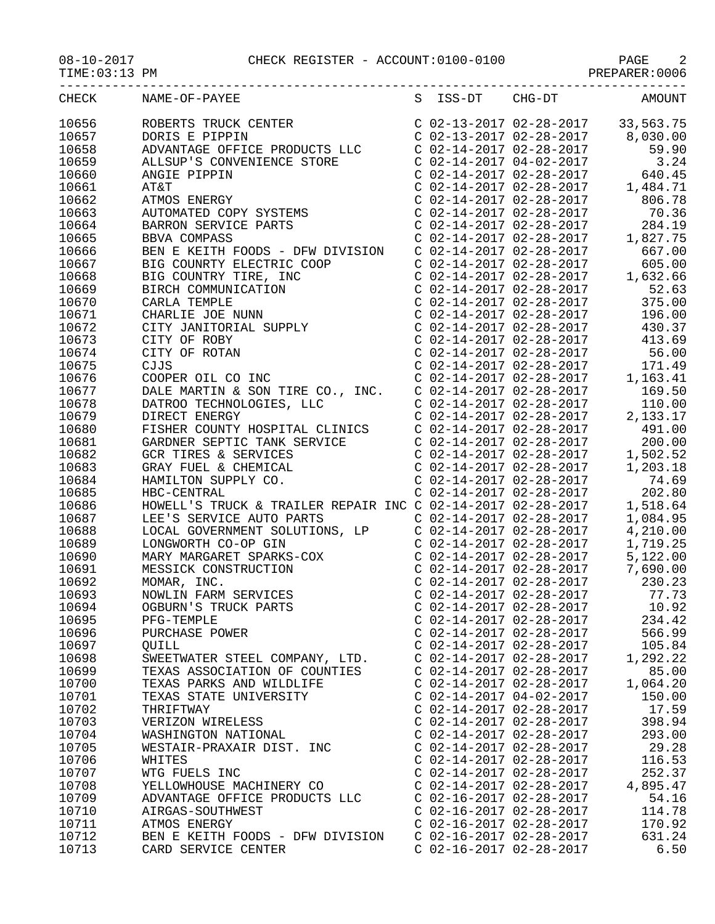## 08-10-2017 CHECK REGISTER - ACCOUNT:0100-0100 PAGE 2

PREPARER:0006

| CHECK | NAME-OF-PAYEE                                                                                                                                                                                                              |                                                        | S ISS-DT CHG-DT                                                                                                                                                                                                                                          | AMOUNT   |
|-------|----------------------------------------------------------------------------------------------------------------------------------------------------------------------------------------------------------------------------|--------------------------------------------------------|----------------------------------------------------------------------------------------------------------------------------------------------------------------------------------------------------------------------------------------------------------|----------|
| 10656 | ROBERTS TRUCK CENTER<br>DORIS E PIPPIN<br>ADVANTAGE OFFICE PRODUCTS LLC                                                                                                                                                    |                                                        | $C$ 02-13-2017 02-28-2017 33,563.75                                                                                                                                                                                                                      |          |
| 10657 |                                                                                                                                                                                                                            |                                                        | $C$ 02-13-2017 02-28-2017 8,030.00                                                                                                                                                                                                                       |          |
| 10658 |                                                                                                                                                                                                                            |                                                        | $\begin{tabular}{lllllllllll} $\texttt{C} & 02-14-2017 & 02-28-2017 & & 59.90 \\ $\texttt{C} & 02-14-2017 & 04-02-2017 & & 3.24 \\ $\texttt{C} & 02-14-2017 & 02-28-2017 & & 640.45 \\ $\texttt{C} & 02-14-2017 & 02-28-2017 & & 1,484.71 \end{tabular}$ |          |
| 10659 | ALLSUP'S CONVERTER<br>ANGIE PIPPIN<br>AT&T<br>ATMOS ENERGY<br>AUTOMATED COPY SYSTEMS<br>AUTOMATED COPY SYSTEMS                                                                                                             |                                                        |                                                                                                                                                                                                                                                          |          |
| 10660 |                                                                                                                                                                                                                            |                                                        |                                                                                                                                                                                                                                                          |          |
| 10661 |                                                                                                                                                                                                                            |                                                        |                                                                                                                                                                                                                                                          |          |
| 10662 |                                                                                                                                                                                                                            |                                                        | $C$ 02-14-2017 02-28-2017                                                                                                                                                                                                                                | 806.78   |
| 10663 |                                                                                                                                                                                                                            |                                                        | $C$ 02-14-2017 02-28-2017                                                                                                                                                                                                                                | 70.36    |
| 10664 |                                                                                                                                                                                                                            |                                                        |                                                                                                                                                                                                                                                          | 284.19   |
| 10665 |                                                                                                                                                                                                                            |                                                        |                                                                                                                                                                                                                                                          | 1,827.75 |
| 10666 | BEN E KEITH FOODS - DFW DIVISION                                                                                                                                                                                           |                                                        |                                                                                                                                                                                                                                                          | 667.00   |
|       |                                                                                                                                                                                                                            |                                                        | $C$ 02-14-2017 02-28-2017                                                                                                                                                                                                                                |          |
| 10667 | BIG COUNRTY ELECTRIC COOP                                                                                                                                                                                                  |                                                        | C 02-14-2017 02-28-2017                                                                                                                                                                                                                                  | 605.00   |
| 10668 |                                                                                                                                                                                                                            |                                                        |                                                                                                                                                                                                                                                          | 1,632.66 |
| 10669 |                                                                                                                                                                                                                            |                                                        | $\begin{tabular}{lllllllll} $\texttt{C} & 02-14-2017 & 02-28-2017$ & $\texttt{C} & 02-14-2017 & 02-28-2017$ & $\texttt{3}$ \\ $\texttt{C} & 02-14-2017 & 02-28-2017 & 1$ & $\texttt{C} & 02-14-2017 & 02-28-2017$ & $\texttt{4}$ \end{tabular}$          | 52.63    |
| 10670 |                                                                                                                                                                                                                            |                                                        |                                                                                                                                                                                                                                                          | 375.00   |
| 10671 |                                                                                                                                                                                                                            |                                                        |                                                                                                                                                                                                                                                          | 196.00   |
| 10672 |                                                                                                                                                                                                                            |                                                        |                                                                                                                                                                                                                                                          | 430.37   |
| 10673 | BIG COUNRTY ELECTRIC COOP<br>BIG COUNTRY TIRE, INC<br>BIRCH COMMUNICATION<br>CARLA TEMPLE<br>CHARLIE JOE NUNN<br>CITY JANITORIAL SUPPLY<br>CITY OF ROBY<br>CITY OF ROTAN<br>CJJS<br>COOPER OIL CO INC<br>COOPER OIL CO INC |                                                        | $C$ 02-14-2017 02-28-2017 413.69                                                                                                                                                                                                                         |          |
| 10674 |                                                                                                                                                                                                                            |                                                        | $C$ 02-14-2017 02-28-2017 56.00                                                                                                                                                                                                                          |          |
| 10675 |                                                                                                                                                                                                                            |                                                        | $\begin{array}{llll} \text{C} & 02\text{--}14\text{--}2017 & 02\text{--}28\text{--}2017 \\ \text{C} & 02\text{--}14\text{--}2017 & 02\text{--}28\text{--}2017 & 1 \\ \text{C} & 02\text{--}14\text{--}2017 & 02\text{--}28\text{--}2017 & \end{array}$   | 171.49   |
| 10676 |                                                                                                                                                                                                                            |                                                        |                                                                                                                                                                                                                                                          | 1,163.41 |
| 10677 |                                                                                                                                                                                                                            |                                                        |                                                                                                                                                                                                                                                          | 169.50   |
| 10678 |                                                                                                                                                                                                                            |                                                        | $C$ 02-14-2017 02-28-2017                                                                                                                                                                                                                                | 110.00   |
| 10679 | DALE MARTIN & SON TIRE CO., INC.<br>DATROO TECHNOLOGIES, LLC<br>DIRECT ENERGY                                                                                                                                              |                                                        | $C$ 02-14-2017 02-28-2017 2,133.17                                                                                                                                                                                                                       |          |
| 10680 | FISHER COUNTY HOSPITAL CLINICS C 02-14-2017 02-28-2017                                                                                                                                                                     |                                                        |                                                                                                                                                                                                                                                          | 491.00   |
| 10681 |                                                                                                                                                                                                                            |                                                        |                                                                                                                                                                                                                                                          | 200.00   |
| 10682 |                                                                                                                                                                                                                            |                                                        |                                                                                                                                                                                                                                                          | 1,502.52 |
| 10683 | GARDNER SEPTIC TANK SERVICE<br>GCR TIRES & SERVICES<br>GRAY FUEL & CHEMICAL<br>HAMILTON SUPPLY CO.                                                                                                                         |                                                        | $\begin{array}{lllll} \text{C} & 02-14-2017 & 02-28-2017 \\ \text{C} & 02-14-2017 & 02-28-2017 & 1 \\ \text{C} & 02-14-2017 & 02-28-2017 & 1 \end{array}$                                                                                                | 1,203.18 |
| 10684 |                                                                                                                                                                                                                            |                                                        | $C$ 02-14-2017 02-28-2017                                                                                                                                                                                                                                | 74.69    |
| 10685 | HBC-CENTRAL                                                                                                                                                                                                                |                                                        | C 02-14-2017 02-28-2017                                                                                                                                                                                                                                  | 202.80   |
| 10686 | HOWELL'S TRUCK & TRAILER REPAIR INC C $02-14-2017$ $02-28-2017$                                                                                                                                                            |                                                        |                                                                                                                                                                                                                                                          | 1,518.64 |
| 10687 | LEE'S SERVICE AUTO PARTS                                                                                                                                                                                                   |                                                        | $C$ 02-14-2017 02-28-2017                                                                                                                                                                                                                                | 1,084.95 |
| 10688 | LOCAL GOVERNMENT SOLUTIONS, LP                                                                                                                                                                                             |                                                        | $C$ 02-14-2017 02-28-2017                                                                                                                                                                                                                                | 4,210.00 |
| 10689 | LONGWORTH CO-OP GIN                                                                                                                                                                                                        |                                                        | $C$ 02-14-2017 02-28-2017                                                                                                                                                                                                                                | 1,719.25 |
| 10690 | MARY MARGARET SPARKS-COX<br>MESSICK CONSTRUCTION<br>MOMAR, INC.<br>NOWLIN FARM SERVICES                                                                                                                                    |                                                        | $C$ 02-14-2017 02-28-2017                                                                                                                                                                                                                                | 5,122.00 |
| 10691 |                                                                                                                                                                                                                            |                                                        | $C$ 02-14-2017 02-28-2017                                                                                                                                                                                                                                | 7,690.00 |
| 10692 |                                                                                                                                                                                                                            |                                                        | $C$ 02-14-2017 02-28-2017                                                                                                                                                                                                                                | 230.23   |
| 10693 |                                                                                                                                                                                                                            | $C$ 02-14-2017 02-28-2017                              |                                                                                                                                                                                                                                                          | 77.73    |
| 10694 | OGBURN'S TRUCK PARTS                                                                                                                                                                                                       | $C$ 02-14-2017 02-28-2017                              |                                                                                                                                                                                                                                                          | 10.92    |
| 10695 | PFG-TEMPLE                                                                                                                                                                                                                 |                                                        | $C$ 02-14-2017 02-28-2017                                                                                                                                                                                                                                | 234.42   |
| 10696 | PURCHASE POWER                                                                                                                                                                                                             | $C$ 02-14-2017 02-28-2017                              |                                                                                                                                                                                                                                                          | 566.99   |
| 10697 | QUILL                                                                                                                                                                                                                      | $C$ 02-14-2017 02-28-2017                              |                                                                                                                                                                                                                                                          | 105.84   |
| 10698 | SWEETWATER STEEL COMPANY, LTD.                                                                                                                                                                                             | $C$ 02-14-2017 02-28-2017                              |                                                                                                                                                                                                                                                          | 1,292.22 |
| 10699 | TEXAS ASSOCIATION OF COUNTIES                                                                                                                                                                                              | C 02-14-2017 02-28-2017                                |                                                                                                                                                                                                                                                          | 85.00    |
| 10700 | TEXAS PARKS AND WILDLIFE                                                                                                                                                                                                   | $C$ 02-14-2017 02-28-2017                              |                                                                                                                                                                                                                                                          | 1,064.20 |
| 10701 | TEXAS STATE UNIVERSITY                                                                                                                                                                                                     | $C$ 02-14-2017 04-02-2017                              |                                                                                                                                                                                                                                                          | 150.00   |
| 10702 | THRIFTWAY                                                                                                                                                                                                                  | $C$ 02-14-2017 02-28-2017                              |                                                                                                                                                                                                                                                          | 17.59    |
| 10703 | VERIZON WIRELESS                                                                                                                                                                                                           | $C$ 02-14-2017 02-28-2017                              |                                                                                                                                                                                                                                                          | 398.94   |
| 10704 | WASHINGTON NATIONAL                                                                                                                                                                                                        | $C$ 02-14-2017 02-28-2017                              |                                                                                                                                                                                                                                                          | 293.00   |
| 10705 | WESTAIR-PRAXAIR DIST. INC                                                                                                                                                                                                  | C 02-14-2017 02-28-2017                                |                                                                                                                                                                                                                                                          | 29.28    |
| 10706 | WHITES                                                                                                                                                                                                                     | $C$ 02-14-2017 02-28-2017                              |                                                                                                                                                                                                                                                          | 116.53   |
| 10707 | WTG FUELS INC                                                                                                                                                                                                              | $C$ 02-14-2017 02-28-2017                              |                                                                                                                                                                                                                                                          | 252.37   |
|       |                                                                                                                                                                                                                            |                                                        |                                                                                                                                                                                                                                                          | 4,895.47 |
| 10708 | YELLOWHOUSE MACHINERY CO                                                                                                                                                                                                   | $C$ 02-14-2017 02-28-2017<br>$C$ 02-16-2017 02-28-2017 |                                                                                                                                                                                                                                                          |          |
| 10709 | ADVANTAGE OFFICE PRODUCTS LLC                                                                                                                                                                                              |                                                        |                                                                                                                                                                                                                                                          | 54.16    |
| 10710 | AIRGAS-SOUTHWEST                                                                                                                                                                                                           |                                                        | $C$ 02-16-2017 02-28-2017                                                                                                                                                                                                                                | 114.78   |
| 10711 | ATMOS ENERGY                                                                                                                                                                                                               |                                                        | $C$ 02-16-2017 02-28-2017                                                                                                                                                                                                                                | 170.92   |
| 10712 | BEN E KEITH FOODS - DFW DIVISION                                                                                                                                                                                           |                                                        | $C$ 02-16-2017 02-28-2017                                                                                                                                                                                                                                | 631.24   |
| 10713 | CARD SERVICE CENTER                                                                                                                                                                                                        | $C$ 02-16-2017 02-28-2017                              |                                                                                                                                                                                                                                                          | 6.50     |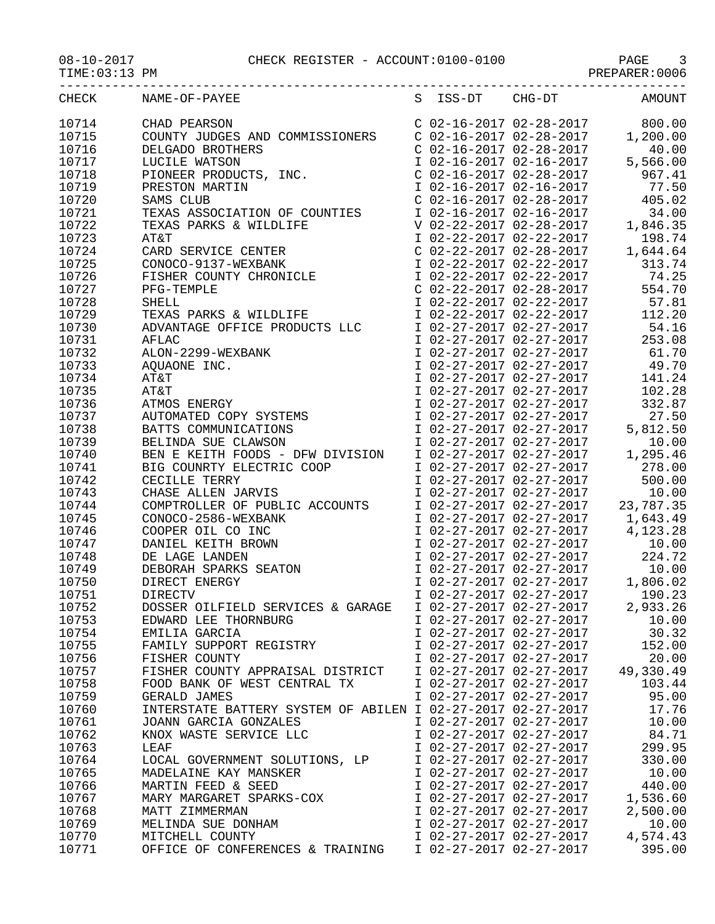| CHECK          | S ISS-DT CHG-DT<br>NAME-OF-PAYEE                                                                                                                                                                                                       |                                                    | <b>AMOUNT</b>                                |
|----------------|----------------------------------------------------------------------------------------------------------------------------------------------------------------------------------------------------------------------------------------|----------------------------------------------------|----------------------------------------------|
|                |                                                                                                                                                                                                                                        |                                                    |                                              |
|                |                                                                                                                                                                                                                                        |                                                    |                                              |
| 10716          |                                                                                                                                                                                                                                        |                                                    |                                              |
| 10717          |                                                                                                                                                                                                                                        |                                                    |                                              |
| 10718          |                                                                                                                                                                                                                                        |                                                    |                                              |
| 10719          |                                                                                                                                                                                                                                        |                                                    |                                              |
| 10720<br>10721 |                                                                                                                                                                                                                                        |                                                    |                                              |
| 10722          |                                                                                                                                                                                                                                        |                                                    |                                              |
| 10723          |                                                                                                                                                                                                                                        |                                                    |                                              |
| 10724          |                                                                                                                                                                                                                                        |                                                    |                                              |
| 10725          |                                                                                                                                                                                                                                        |                                                    |                                              |
| 10726          |                                                                                                                                                                                                                                        |                                                    |                                              |
| 10727          |                                                                                                                                                                                                                                        |                                                    | 554.70                                       |
| 10728          |                                                                                                                                                                                                                                        |                                                    |                                              |
| 10729          |                                                                                                                                                                                                                                        |                                                    |                                              |
| 10730          |                                                                                                                                                                                                                                        |                                                    |                                              |
| 10731          |                                                                                                                                                                                                                                        |                                                    |                                              |
| 10732          |                                                                                                                                                                                                                                        |                                                    |                                              |
| 10733<br>10734 |                                                                                                                                                                                                                                        |                                                    |                                              |
| 10735          |                                                                                                                                                                                                                                        |                                                    |                                              |
| 10736          |                                                                                                                                                                                                                                        |                                                    |                                              |
| 10737          | SHELL TEXAS PARKS & WILDLIFE $102-22-2017$ 02-22-2017<br>TEXAS PARKS & WILDLIFE $102-27-2017$ 02-22-2017<br>ADVANTAGE OFFICE PRODUCTS LLC $102-27-2017$ 02-27-2017 253.08<br>ALON-2299-WEXBANK $102-27-2017$ 02-27-2017 61.70<br>AQUAO |                                                    |                                              |
| 10738          |                                                                                                                                                                                                                                        |                                                    |                                              |
| 10739          |                                                                                                                                                                                                                                        |                                                    |                                              |
| 10740          | BEN E KEITH FOODS - DFW DIVISION I 02-27-2017 02-27-2017 1,295.46                                                                                                                                                                      |                                                    |                                              |
| 10741          | = 12 COUNRTY ELECTRIC COOP<br>CECILLE TERRY TO2-27-2017 02-27-2017<br>CHASE ALLEN JARVIS TO2-27-2017 02-27-2017 500.00<br>COMPTROLLER OF PUBLIC ACCOUNTS TO2-27-2017 02-27-2017 10.00<br>COMPTROLLER OF PUBLIC ACCOUNTS TO2-27-2017 02 |                                                    |                                              |
| 10742          |                                                                                                                                                                                                                                        |                                                    |                                              |
| 10743          |                                                                                                                                                                                                                                        |                                                    |                                              |
| 10744<br>10745 | CONOCO-2586-WEXBANK                                                                                                                                                                                                                    |                                                    |                                              |
| 10746          | COOPER OIL CO INC                                                                                                                                                                                                                      | I 02-27-2017 02-27-2017                            | I 02-27-2017 02-27-2017 1,643.49<br>4,123.28 |
| 10747          | DANIEL KEITH BROWN                                                                                                                                                                                                                     | I 02-27-2017 02-27-2017                            | 10.00                                        |
| 10748          | DE LAGE LANDEN                                                                                                                                                                                                                         | I 02-27-2017 02-27-2017                            | 224.72                                       |
| 10749          | DEBORAH SPARKS SEATON                                                                                                                                                                                                                  | I 02-27-2017 02-27-2017                            | 10.00                                        |
| 10750          | DIRECT ENERGY                                                                                                                                                                                                                          | I 02-27-2017 02-27-2017                            | 1,806.02                                     |
| 10751          | DIRECTV                                                                                                                                                                                                                                | I 02-27-2017 02-27-2017                            | 190.23                                       |
| 10752          | DOSSER OILFIELD SERVICES & GARAGE                                                                                                                                                                                                      | I 02-27-2017 02-27-2017                            | 2,933.26                                     |
| 10753          | EDWARD LEE THORNBURG                                                                                                                                                                                                                   | I 02-27-2017 02-27-2017                            | 10.00                                        |
| 10754          | EMILIA GARCIA                                                                                                                                                                                                                          | I 02-27-2017 02-27-2017                            | 30.32                                        |
| 10755<br>10756 | FAMILY SUPPORT REGISTRY<br>FISHER COUNTY                                                                                                                                                                                               | I 02-27-2017 02-27-2017<br>I 02-27-2017 02-27-2017 | 152.00<br>20.00                              |
| 10757          | FISHER COUNTY APPRAISAL DISTRICT                                                                                                                                                                                                       | I 02-27-2017 02-27-2017                            | 49,330.49                                    |
| 10758          | FOOD BANK OF WEST CENTRAL TX                                                                                                                                                                                                           | I 02-27-2017 02-27-2017                            | 103.44                                       |
| 10759          | GERALD JAMES                                                                                                                                                                                                                           | I 02-27-2017 02-27-2017                            | 95.00                                        |
| 10760          | INTERSTATE BATTERY SYSTEM OF ABILEN I 02-27-2017 02-27-2017                                                                                                                                                                            |                                                    | 17.76                                        |
| 10761          | JOANN GARCIA GONZALES                                                                                                                                                                                                                  | I 02-27-2017 02-27-2017                            | 10.00                                        |
| 10762          | KNOX WASTE SERVICE LLC                                                                                                                                                                                                                 | I 02-27-2017 02-27-2017                            | 84.71                                        |
| 10763          | LEAF                                                                                                                                                                                                                                   | I 02-27-2017 02-27-2017                            | 299.95                                       |
| 10764          | LOCAL GOVERNMENT SOLUTIONS, LP                                                                                                                                                                                                         | I 02-27-2017 02-27-2017                            | 330.00                                       |
| 10765          | MADELAINE KAY MANSKER                                                                                                                                                                                                                  | I 02-27-2017 02-27-2017                            | 10.00                                        |
| 10766<br>10767 | MARTIN FEED & SEED<br>MARY MARGARET SPARKS-COX                                                                                                                                                                                         | I 02-27-2017 02-27-2017<br>I 02-27-2017 02-27-2017 | 440.00<br>1,536.60                           |
| 10768          | MATT ZIMMERMAN                                                                                                                                                                                                                         | I 02-27-2017 02-27-2017                            | 2,500.00                                     |
|                |                                                                                                                                                                                                                                        |                                                    |                                              |

10769 MELINDA SUE DONHAM I 02-27-2017 02-27-2017 10.00

10771 OFFICE OF CONFERENCES & TRAINING

1 02-27-2017 02-27-2017 4,574.43<br>1 02-27-2017 02-27-2017 395.00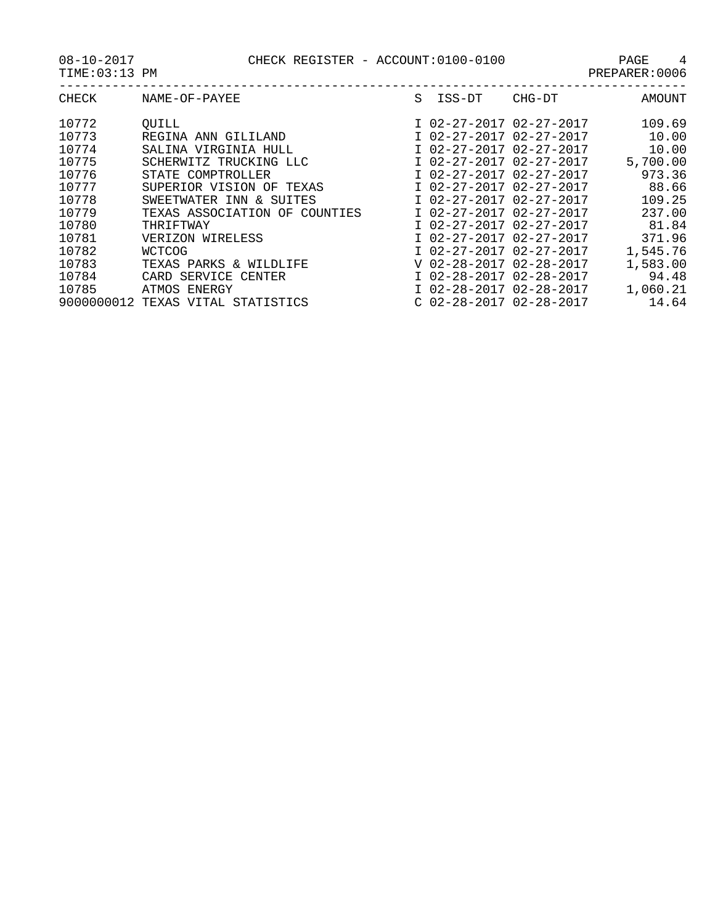08-10-2017 CHECK REGISTER - ACCOUNT:0100-0100 PAGE 4

| CHECK | NAME-OF-PAYEE                     | S. | ISS-DT                    | CHG-DT | <b>AMOUNT</b> |
|-------|-----------------------------------|----|---------------------------|--------|---------------|
| 10772 | OUILL                             |    | I 02-27-2017 02-27-2017   |        | 109.69        |
| 10773 | REGINA ANN GILILAND               |    | I 02-27-2017 02-27-2017   |        | 10.00         |
| 10774 | SALINA VIRGINIA HULL              |    | I 02-27-2017 02-27-2017   |        | 10.00         |
| 10775 | SCHERWITZ TRUCKING LLC            |    | I 02-27-2017 02-27-2017   |        | 5,700.00      |
| 10776 | STATE COMPTROLLER                 |    | I 02-27-2017 02-27-2017   |        | 973.36        |
| 10777 | SUPERIOR VISION OF TEXAS          |    | I 02-27-2017 02-27-2017   |        | 88.66         |
| 10778 | SWEETWATER INN & SUITES           |    | I 02-27-2017 02-27-2017   |        | 109.25        |
| 10779 | TEXAS ASSOCIATION OF COUNTIES     |    | I 02-27-2017 02-27-2017   |        | 237.00        |
| 10780 | THRIFTWAY                         |    | I 02-27-2017 02-27-2017   |        | 81.84         |
| 10781 | VERIZON WIRELESS                  |    | I 02-27-2017 02-27-2017   |        | 371.96        |
| 10782 | <b>WCTCOG</b>                     |    | I 02-27-2017 02-27-2017   |        | 1,545.76      |
| 10783 | TEXAS PARKS & WILDLIFE            |    | V 02-28-2017 02-28-2017   |        | 1,583.00      |
| 10784 | CARD SERVICE<br>CENTER            |    | I 02-28-2017 02-28-2017   |        | 94.48         |
| 10785 | ATMOS ENERGY                      |    | I 02-28-2017 02-28-2017   |        | 1,060.21      |
|       | 9000000012 TEXAS VITAL STATISTICS |    | $C$ 02-28-2017 02-28-2017 |        | 14.64         |